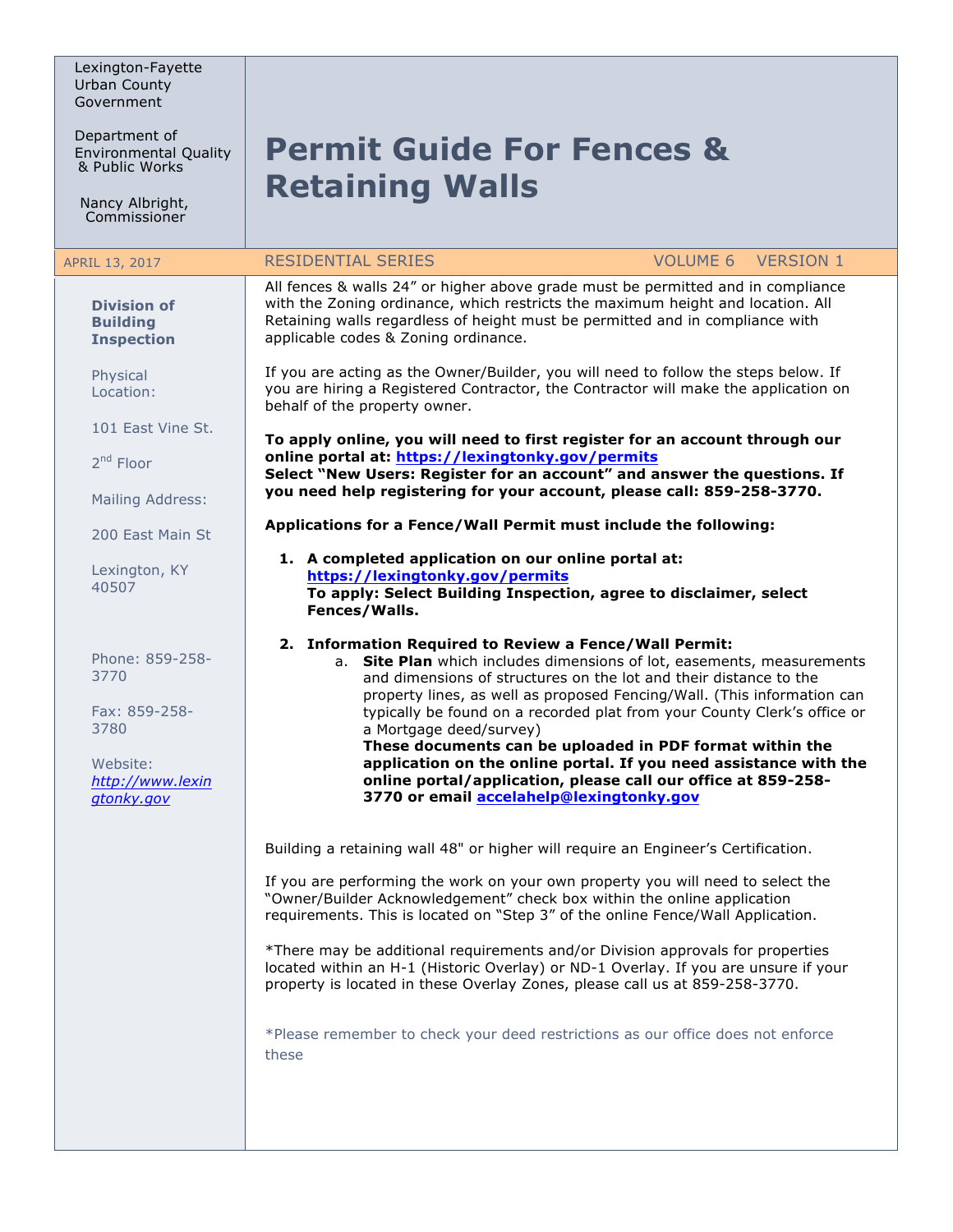Lexington-Fayette Urban County Government

Department of Environmental Quality<br>& Public Works

Nancy Albright, Commissioner

## **Permit Guide For Fences & Retaining Walls**

| APRIL 13, 2017                                                                                 | <b>RESIDENTIAL SERIES</b>                                                                                                                                                                                                                                                                                                          | <b>VERSION 1</b><br><b>VOLUME 6</b>                                                                                                                                                                                                                                                                                                                                                                                                                                                                  |
|------------------------------------------------------------------------------------------------|------------------------------------------------------------------------------------------------------------------------------------------------------------------------------------------------------------------------------------------------------------------------------------------------------------------------------------|------------------------------------------------------------------------------------------------------------------------------------------------------------------------------------------------------------------------------------------------------------------------------------------------------------------------------------------------------------------------------------------------------------------------------------------------------------------------------------------------------|
| <b>Division of</b><br><b>Building</b><br><b>Inspection</b>                                     | All fences & walls 24" or higher above grade must be permitted and in compliance<br>with the Zoning ordinance, which restricts the maximum height and location. All<br>Retaining walls regardless of height must be permitted and in compliance with<br>applicable codes & Zoning ordinance.                                       |                                                                                                                                                                                                                                                                                                                                                                                                                                                                                                      |
| Physical<br>Location:                                                                          | If you are acting as the Owner/Builder, you will need to follow the steps below. If<br>you are hiring a Registered Contractor, the Contractor will make the application on<br>behalf of the property owner.                                                                                                                        |                                                                                                                                                                                                                                                                                                                                                                                                                                                                                                      |
| 101 East Vine St.                                                                              | To apply online, you will need to first register for an account through our                                                                                                                                                                                                                                                        |                                                                                                                                                                                                                                                                                                                                                                                                                                                                                                      |
| 2 <sup>nd</sup> Floor                                                                          | online portal at: https://lexingtonky.gov/permits<br>Select "New Users: Register for an account" and answer the questions. If                                                                                                                                                                                                      |                                                                                                                                                                                                                                                                                                                                                                                                                                                                                                      |
| Mailing Address:                                                                               | you need help registering for your account, please call: 859-258-3770.                                                                                                                                                                                                                                                             |                                                                                                                                                                                                                                                                                                                                                                                                                                                                                                      |
| 200 East Main St                                                                               | Applications for a Fence/Wall Permit must include the following:                                                                                                                                                                                                                                                                   |                                                                                                                                                                                                                                                                                                                                                                                                                                                                                                      |
| Lexington, KY<br>40507                                                                         | 1. A completed application on our online portal at:<br>https://lexingtonky.gov/permits<br>Fences/Walls.                                                                                                                                                                                                                            | To apply: Select Building Inspection, agree to disclaimer, select                                                                                                                                                                                                                                                                                                                                                                                                                                    |
| Phone: 859-258-<br>3770<br>Fax: 859-258-<br>3780<br>Website:<br>http://www.lexin<br>gtonky.gov | 2. Information Required to Review a Fence/Wall Permit:<br>a Mortgage deed/survey)<br>3770 or email accelahelp@lexingtonky.gov                                                                                                                                                                                                      | a. Site Plan which includes dimensions of lot, easements, measurements<br>and dimensions of structures on the lot and their distance to the<br>property lines, as well as proposed Fencing/Wall. (This information can<br>typically be found on a recorded plat from your County Clerk's office or<br>These documents can be uploaded in PDF format within the<br>application on the online portal. If you need assistance with the<br>online portal/application, please call our office at 859-258- |
|                                                                                                | Building a retaining wall 48" or higher will require an Engineer's Certification.<br>If you are performing the work on your own property you will need to select the<br>"Owner/Builder Acknowledgement" check box within the online application<br>requirements. This is located on "Step 3" of the online Fence/Wall Application. |                                                                                                                                                                                                                                                                                                                                                                                                                                                                                                      |
|                                                                                                | *There may be additional requirements and/or Division approvals for properties<br>property is located in these Overlay Zones, please call us at 859-258-3770.                                                                                                                                                                      | located within an H-1 (Historic Overlay) or ND-1 Overlay. If you are unsure if your                                                                                                                                                                                                                                                                                                                                                                                                                  |
|                                                                                                | *Please remember to check your deed restrictions as our office does not enforce<br>these                                                                                                                                                                                                                                           |                                                                                                                                                                                                                                                                                                                                                                                                                                                                                                      |